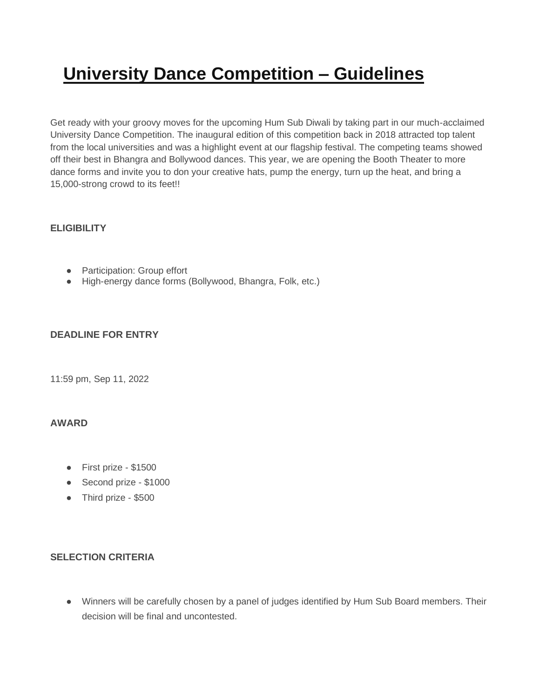# **University Dance Competition – Guidelines**

Get ready with your groovy moves for the upcoming Hum Sub Diwali by taking part in our much-acclaimed University Dance Competition. The inaugural edition of this competition back in 2018 attracted top talent from the local universities and was a highlight event at our flagship festival. The competing teams showed off their best in Bhangra and Bollywood dances. This year, we are opening the Booth Theater to more dance forms and invite you to don your creative hats, pump the energy, turn up the heat, and bring a 15,000-strong crowd to its feet!!

## **ELIGIBILITY**

- **●** Participation: Group effort
- **●** High-energy dance forms (Bollywood, Bhangra, Folk, etc.)

## **DEADLINE FOR ENTRY**

11:59 pm, Sep 11, 2022

#### **AWARD**

- **●** First prize \$1500
- **●** Second prize \$1000
- **●** Third prize \$500

#### **SELECTION CRITERIA**

**●** Winners will be carefully chosen by a panel of judges identified by Hum Sub Board members. Their decision will be final and uncontested.